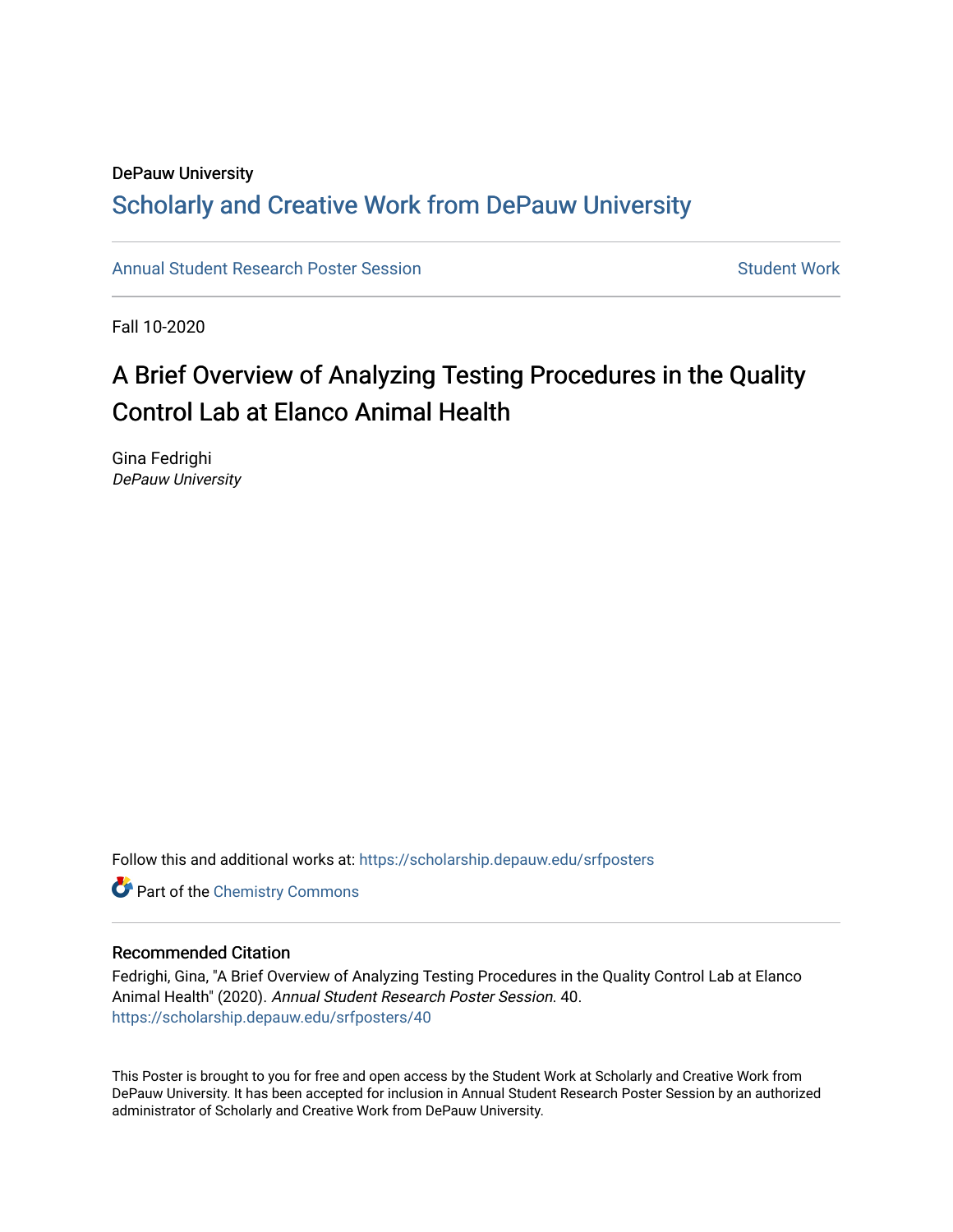#### DePauw University Scholarly and [Creative Work from DePauw Univ](https://scholarship.depauw.edu/)ersity

[Annual Student Research Poster Session](https://scholarship.depauw.edu/srfposters) Student Work

Fall 10-2020

### A Brief Overview of Analyzing Testing Procedures in the Quality Control Lab at Elanco Animal Health

Gina Fedrighi DePauw University

Follow this and additional works at: [https://scholarship.depauw.edu/srfposters](https://scholarship.depauw.edu/srfposters?utm_source=scholarship.depauw.edu%2Fsrfposters%2F40&utm_medium=PDF&utm_campaign=PDFCoverPages) 

**Part of the Chemistry Commons** 

#### Recommended Citation

Fedrighi, Gina, "A Brief Overview of Analyzing Testing Procedures in the Quality Control Lab at Elanco Animal Health" (2020). Annual Student Research Poster Session. 40. [https://scholarship.depauw.edu/srfposters/40](https://scholarship.depauw.edu/srfposters/40?utm_source=scholarship.depauw.edu%2Fsrfposters%2F40&utm_medium=PDF&utm_campaign=PDFCoverPages)

This Poster is brought to you for free and open access by the Student Work at Scholarly and Creative Work from DePauw University. It has been accepted for inclusion in Annual Student Research Poster Session by an authorized administrator of Scholarly and Creative Work from DePauw University.